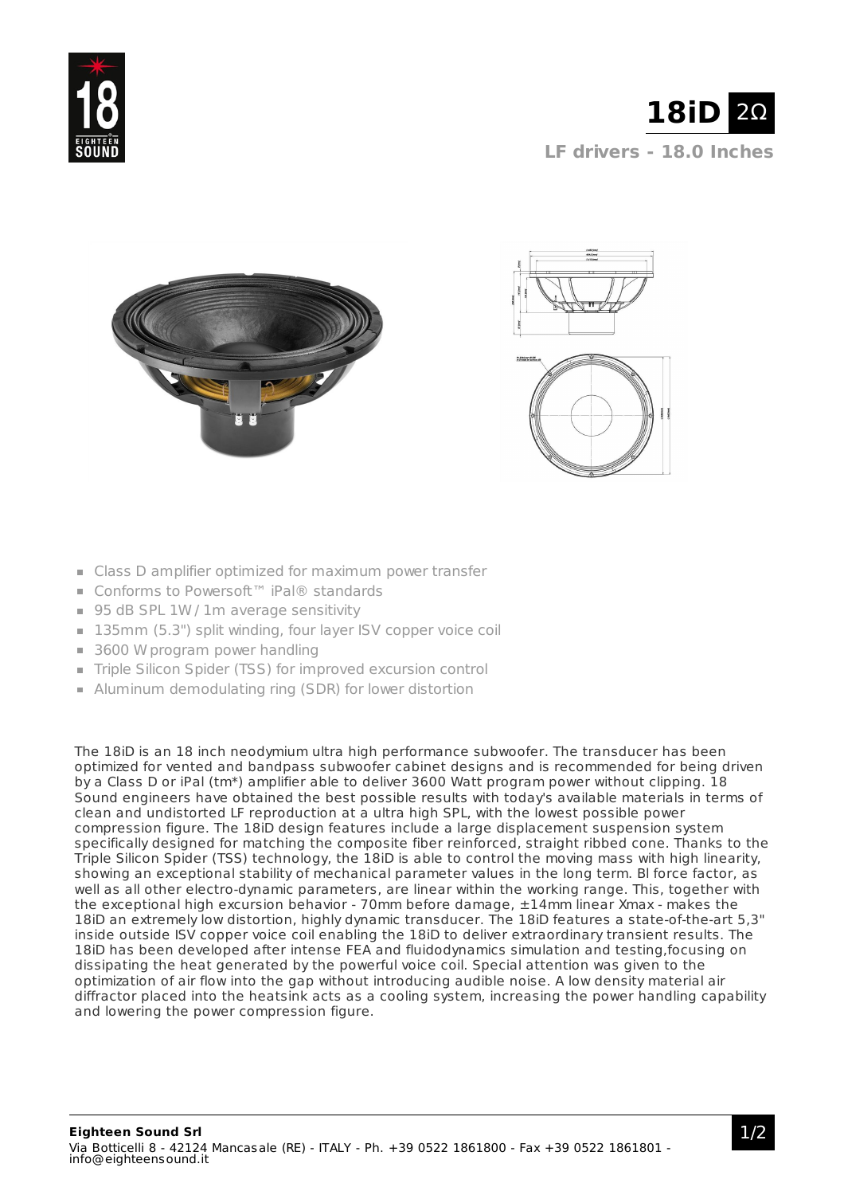





- Class D amplifier optimized for maximum power transfer
- Conforms to Powersoft™ iPal® standards
- 95 dB SPL 1W / 1m average sensitivity
- 135mm (5.3") split winding, four layer ISV copper voice coil
- 3600 W program power handling
- Triple Silicon Spider (TSS) for improved excursion control
- Aluminum demodulating ring (SDR) for lower distortion

The 18iD is an 18 inch neodymium ultra high performance subwoofer. The transducer has been optimized for vented and bandpass subwoofer cabinet designs and is recommended for being driven by a Class D or iPal (tm\*) amplifier able to deliver 3600 Watt program power without clipping. 18 Sound engineers have obtained the best possible results with today's available materials in terms of clean and undistorted LF reproduction at a ultra high SPL, with the lowest possible power compression figure. The 18iD design features include a large displacement suspension system specifically designed for matching the composite fiber reinforced, straight ribbed cone. Thanks to the Triple Silicon Spider (TSS) technology, the 18iD is able to control the moving mass with high linearity, showing an exceptional stability of mechanical parameter values in the long term. Bl force factor, as well as all other electro-dynamic parameters, are linear within the working range. This, together with the exceptional high excursion behavior - 70mm before damage, ±14mm linear Xmax - makes the 18iD an extremely low distortion, highly dynamic transducer. The 18iD features a state-of-the-art 5,3" inside outside ISV copper voice coil enabling the 18iD to deliver extraordinary transient results. The 18iD has been developed after intense FEA and fluidodynamics simulation and testing,focusing on dissipating the heat generated by the powerful voice coil. Special attention was given to the optimization of air flow into the gap without introducing audible noise. A low density material air diffractor placed into the heatsink acts as a cooling system, increasing the power handling capability and lowering the power compression figure.